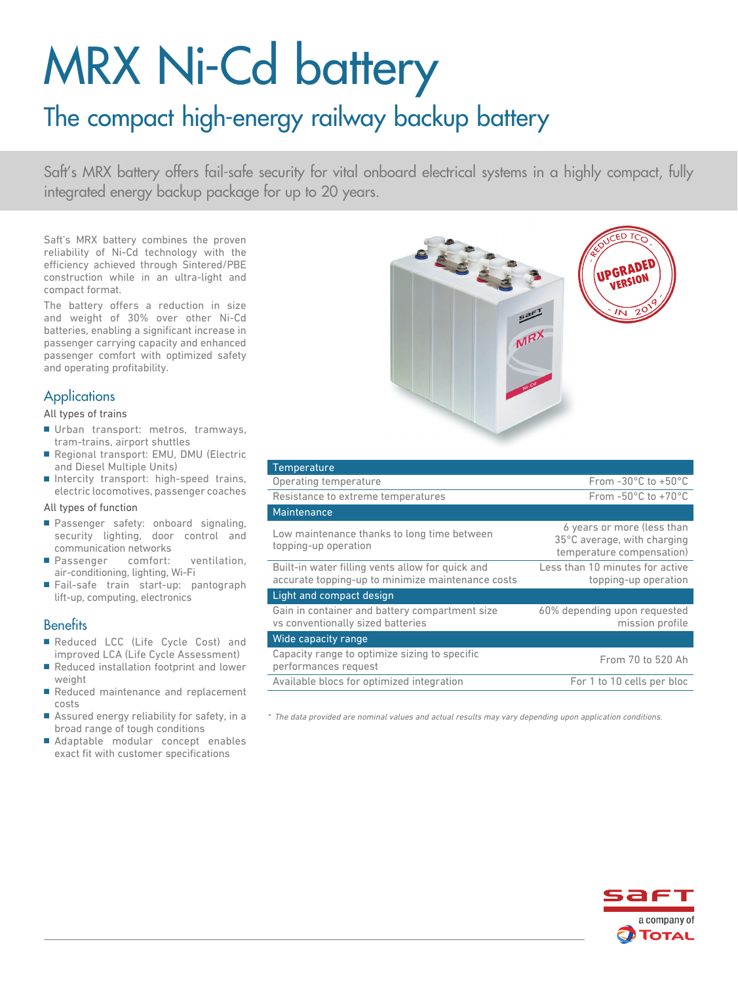# MRX Ni-Cd battery

# The compact high-energy railway backup battery

Saft's MRX battery offers fail-safe security for vital onboard electrical systems in a highly compact, fully integrated energy backup package for up to 20 years.

Saft's MRX battery combines the proven reliability of Ni-Cd technology with the efficiency achieved through Sintered/PBE construction while in an ultra-light and compact format.

The battery offers a reduction in size and weight of 30% over other Ni-Cd batteries, enabling a significant increase in passenger carrying capacity and enhanced passenger comfort with optimized safety and operating profitability.

# **Applications**

All types of trains

- Urban transport: metros, tramways, tram-trains, airport shuttles
- Regional transport: EMU, DMU (Electric and Diesel Multiple Units)
- Intercity transport: high-speed trains, electric locomotives, passenger coaches

#### All types of function

- Passenger safety: onboard signaling, security lighting, door control and communication networks
- **Passenger** comfort: ventilation, air-conditioning, lighting, Wi-Fi
- Fail-safe train start-up: pantograph lift-up, computing, electronics

# **Benefits**

- Reduced LCC (Life Cycle Cost) and improved LCA (Life Cycle Assessment)
- $\blacksquare$  Reduced installation footprint and lower weight
- Reduced maintenance and replacement costs
- $\blacksquare$  Assured energy reliability for safety, in a broad range of tough conditions
- Adaptable modular concept enables exact fit with customer specifications



| <b>Temperature</b>                                                                                    |                                                                                        |
|-------------------------------------------------------------------------------------------------------|----------------------------------------------------------------------------------------|
| Operating temperature                                                                                 | From $-30^{\circ}$ C to $+50^{\circ}$ C                                                |
| Resistance to extreme temperatures                                                                    | From $-50^{\circ}$ C to $+70^{\circ}$ C                                                |
| Maintenance                                                                                           |                                                                                        |
| Low maintenance thanks to long time between<br>topping-up operation                                   | 6 years or more (less than<br>35°C average, with charging<br>temperature compensation) |
| Built-in water filling vents allow for quick and<br>accurate topping-up to minimize maintenance costs | Less than 10 minutes for active<br>topping-up operation                                |
| Light and compact design                                                                              |                                                                                        |
| Gain in container and battery compartment size<br>vs conventionally sized batteries                   | 60% depending upon requested<br>mission profile                                        |
| Wide capacity range                                                                                   |                                                                                        |
| Capacity range to optimize sizing to specific<br>performances request                                 | From 70 to 520 Ah                                                                      |
| Available blocs for optimized integration                                                             | For 1 to 10 cells per bloc                                                             |
|                                                                                                       |                                                                                        |

\* The data provided are nominal values and actual results may vary depending upon application conditions.